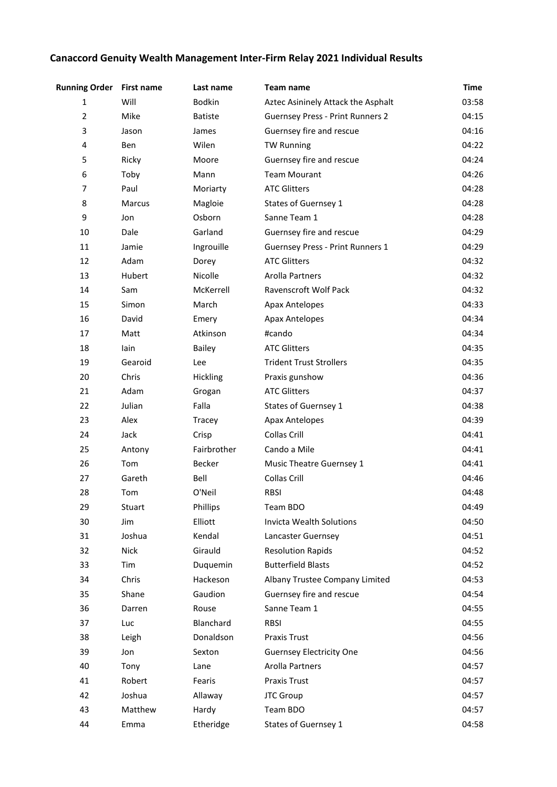## **Canaccord Genuity Wealth Management Inter-Firm Relay 2021 Individual Results**

| <b>Running Order</b> | <b>First name</b> | Last name      | Team name                               | <b>Time</b> |
|----------------------|-------------------|----------------|-----------------------------------------|-------------|
| $\mathbf{1}$         | Will              | <b>Bodkin</b>  | Aztec Asininely Attack the Asphalt      | 03:58       |
| $\mathbf 2$          | Mike              | <b>Batiste</b> | <b>Guernsey Press - Print Runners 2</b> | 04:15       |
| 3                    | Jason             | James          | Guernsey fire and rescue                | 04:16       |
| 4                    | Ben               | Wilen          | <b>TW Running</b>                       | 04:22       |
| 5                    | Ricky             | Moore          | Guernsey fire and rescue                | 04:24       |
| 6                    | Toby              | Mann           | <b>Team Mourant</b>                     | 04:26       |
| 7                    | Paul              | Moriarty       | <b>ATC Glitters</b>                     | 04:28       |
| 8                    | Marcus            | Magloie        | States of Guernsey 1                    | 04:28       |
| 9                    | Jon               | Osborn         | Sanne Team 1                            | 04:28       |
| 10                   | Dale              | Garland        | Guernsey fire and rescue                | 04:29       |
| 11                   | Jamie             | Ingrouille     | Guernsey Press - Print Runners 1        | 04:29       |
| 12                   | Adam              | Dorey          | <b>ATC Glitters</b>                     | 04:32       |
| 13                   | Hubert            | Nicolle        | Arolla Partners                         | 04:32       |
| 14                   | Sam               | McKerrell      | Ravenscroft Wolf Pack                   | 04:32       |
| 15                   | Simon             | March          | <b>Apax Antelopes</b>                   | 04:33       |
| 16                   | David             | Emery          | <b>Apax Antelopes</b>                   | 04:34       |
| 17                   | Matt              | Atkinson       | #cando                                  | 04:34       |
| 18                   | lain              | <b>Bailey</b>  | <b>ATC Glitters</b>                     | 04:35       |
| 19                   | Gearoid           | Lee            | <b>Trident Trust Strollers</b>          | 04:35       |
| 20                   | Chris             | Hickling       | Praxis gunshow                          | 04:36       |
| 21                   | Adam              | Grogan         | <b>ATC Glitters</b>                     | 04:37       |
| 22                   | Julian            | Falla          | States of Guernsey 1                    | 04:38       |
| 23                   | Alex              | Tracey         | <b>Apax Antelopes</b>                   | 04:39       |
| 24                   | Jack              | Crisp          | <b>Collas Crill</b>                     | 04:41       |
| 25                   | Antony            | Fairbrother    | Cando a Mile                            | 04:41       |
| 26                   | Tom               | Becker         | Music Theatre Guernsey 1                | 04:41       |
| 27                   | Gareth            | Bell           | Collas Crill                            | 04:46       |
| 28                   | Tom               | O'Neil         | <b>RBSI</b>                             | 04:48       |
| 29                   | Stuart            | Phillips       | Team BDO                                | 04:49       |
| 30                   | Jim               | Elliott        | Invicta Wealth Solutions                | 04:50       |
| 31                   | Joshua            | Kendal         | Lancaster Guernsey                      | 04:51       |
| 32                   | <b>Nick</b>       | Girauld        | <b>Resolution Rapids</b>                | 04:52       |
| 33                   | Tim               | Duquemin       | <b>Butterfield Blasts</b>               | 04:52       |
| 34                   | Chris             | Hackeson       | Albany Trustee Company Limited          | 04:53       |
| 35                   | Shane             | Gaudion        | Guernsey fire and rescue                | 04:54       |
| 36                   | Darren            | Rouse          | Sanne Team 1                            | 04:55       |
| 37                   | Luc               | Blanchard      | <b>RBSI</b>                             | 04:55       |
| 38                   | Leigh             | Donaldson      | <b>Praxis Trust</b>                     | 04:56       |
| 39                   | Jon               | Sexton         | <b>Guernsey Electricity One</b>         | 04:56       |
| 40                   | Tony              | Lane           | Arolla Partners                         | 04:57       |
| 41                   | Robert            | Fearis         | <b>Praxis Trust</b>                     | 04:57       |
| 42                   | Joshua            | Allaway        | JTC Group                               | 04:57       |
| 43                   | Matthew           | Hardy          | Team BDO                                | 04:57       |
| 44                   | Emma              | Etheridge      | States of Guernsey 1                    | 04:58       |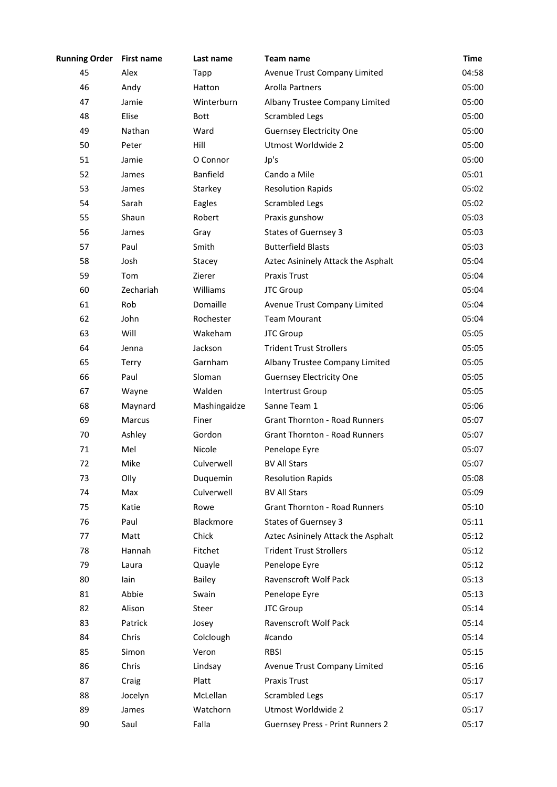| <b>Running Order</b> | <b>First name</b> | Last name       | Team name                               | <b>Time</b> |
|----------------------|-------------------|-----------------|-----------------------------------------|-------------|
| 45                   | Alex              | Tapp            | Avenue Trust Company Limited            | 04:58       |
| 46                   | Andy              | Hatton          | Arolla Partners                         | 05:00       |
| 47                   | Jamie             | Winterburn      | Albany Trustee Company Limited          | 05:00       |
| 48                   | Elise             | <b>Bott</b>     | <b>Scrambled Legs</b>                   | 05:00       |
| 49                   | Nathan            | Ward            | <b>Guernsey Electricity One</b>         | 05:00       |
| 50                   | Peter             | Hill            | Utmost Worldwide 2                      | 05:00       |
| 51                   | Jamie             | O Connor        | Jp's                                    | 05:00       |
| 52                   | James             | <b>Banfield</b> | Cando a Mile                            | 05:01       |
| 53                   | James             | Starkey         | <b>Resolution Rapids</b>                | 05:02       |
| 54                   | Sarah             | Eagles          | <b>Scrambled Legs</b>                   | 05:02       |
| 55                   | Shaun             | Robert          | Praxis gunshow                          | 05:03       |
| 56                   | James             | Gray            | <b>States of Guernsey 3</b>             | 05:03       |
| 57                   | Paul              | Smith           | <b>Butterfield Blasts</b>               | 05:03       |
| 58                   | Josh              | Stacey          | Aztec Asininely Attack the Asphalt      | 05:04       |
| 59                   | Tom               | Zierer          | <b>Praxis Trust</b>                     | 05:04       |
| 60                   | Zechariah         | Williams        | <b>JTC Group</b>                        | 05:04       |
| 61                   | Rob               | Domaille        | Avenue Trust Company Limited            | 05:04       |
| 62                   | John              | Rochester       | <b>Team Mourant</b>                     | 05:04       |
| 63                   | Will              | Wakeham         | JTC Group                               | 05:05       |
| 64                   | Jenna             | Jackson         | <b>Trident Trust Strollers</b>          | 05:05       |
| 65                   | Terry             | Garnham         | Albany Trustee Company Limited          | 05:05       |
| 66                   | Paul              | Sloman          | <b>Guernsey Electricity One</b>         | 05:05       |
| 67                   | Wayne             | Walden          | <b>Intertrust Group</b>                 | 05:05       |
| 68                   | Maynard           | Mashingaidze    | Sanne Team 1                            | 05:06       |
| 69                   | <b>Marcus</b>     | Finer           | <b>Grant Thornton - Road Runners</b>    | 05:07       |
| 70                   | Ashley            | Gordon          | <b>Grant Thornton - Road Runners</b>    | 05:07       |
| 71                   | Mel               | Nicole          | Penelope Eyre                           | 05:07       |
| 72                   | Mike              | Culverwell      | <b>BV All Stars</b>                     | 05:07       |
| 73                   | Olly              | Duquemin        | <b>Resolution Rapids</b>                | 05:08       |
| 74                   | Max               | Culverwell      | <b>BV All Stars</b>                     | 05:09       |
| 75                   | Katie             | Rowe            | <b>Grant Thornton - Road Runners</b>    | 05:10       |
| 76                   | Paul              | Blackmore       | <b>States of Guernsey 3</b>             | 05:11       |
| 77                   | Matt              | Chick           | Aztec Asininely Attack the Asphalt      | 05:12       |
| 78                   | Hannah            | Fitchet         | <b>Trident Trust Strollers</b>          | 05:12       |
| 79                   | Laura             | Quayle          | Penelope Eyre                           | 05:12       |
| 80                   | lain              | <b>Bailey</b>   | Ravenscroft Wolf Pack                   | 05:13       |
| 81                   | Abbie             | Swain           | Penelope Eyre                           | 05:13       |
| 82                   | Alison            | Steer           | JTC Group                               | 05:14       |
| 83                   | Patrick           | Josey           | Ravenscroft Wolf Pack                   | 05:14       |
| 84                   | Chris             | Colclough       | #cando                                  | 05:14       |
| 85                   | Simon             | Veron           | <b>RBSI</b>                             | 05:15       |
| 86                   | Chris             | Lindsay         | Avenue Trust Company Limited            | 05:16       |
| 87                   | Craig             | Platt           | <b>Praxis Trust</b>                     | 05:17       |
| 88                   | Jocelyn           | McLellan        | <b>Scrambled Legs</b>                   | 05:17       |
| 89                   | James             | Watchorn        | Utmost Worldwide 2                      | 05:17       |
| 90                   | Saul              | Falla           | <b>Guernsey Press - Print Runners 2</b> | 05:17       |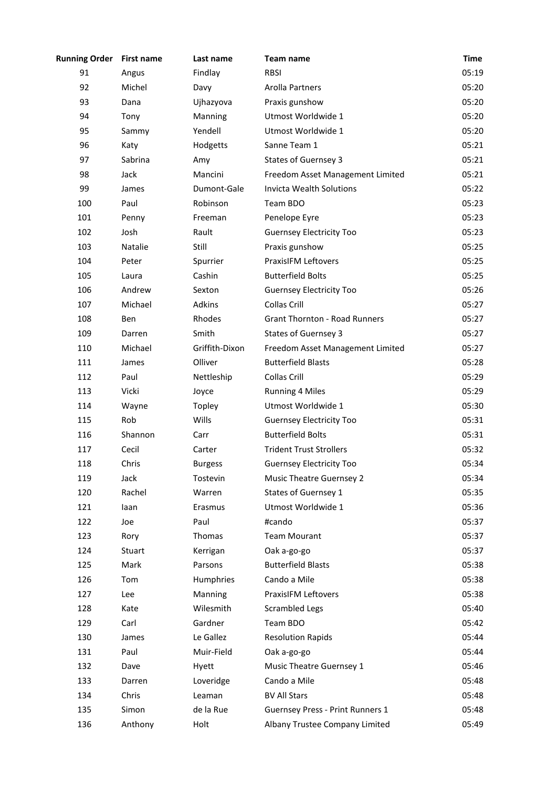| <b>Running Order</b> | <b>First name</b> | Last name      | Team name                            | <b>Time</b> |
|----------------------|-------------------|----------------|--------------------------------------|-------------|
| 91                   | Angus             | Findlay        | <b>RBSI</b>                          | 05:19       |
| 92                   | Michel            | Davy           | Arolla Partners                      | 05:20       |
| 93                   | Dana              | Ujhazyova      | Praxis gunshow                       | 05:20       |
| 94                   | Tony              | Manning        | Utmost Worldwide 1                   | 05:20       |
| 95                   | Sammy             | Yendell        | Utmost Worldwide 1                   | 05:20       |
| 96                   | Katy              | Hodgetts       | Sanne Team 1                         | 05:21       |
| 97                   | Sabrina           | Amy            | <b>States of Guernsey 3</b>          | 05:21       |
| 98                   | Jack              | Mancini        | Freedom Asset Management Limited     | 05:21       |
| 99                   | James             | Dumont-Gale    | <b>Invicta Wealth Solutions</b>      | 05:22       |
| 100                  | Paul              | Robinson       | Team BDO                             | 05:23       |
| 101                  | Penny             | Freeman        | Penelope Eyre                        | 05:23       |
| 102                  | Josh              | Rault          | <b>Guernsey Electricity Too</b>      | 05:23       |
| 103                  | Natalie           | Still          | Praxis gunshow                       | 05:25       |
| 104                  | Peter             | Spurrier       | <b>PraxisIFM Leftovers</b>           | 05:25       |
| 105                  | Laura             | Cashin         | <b>Butterfield Bolts</b>             | 05:25       |
| 106                  | Andrew            | Sexton         | <b>Guernsey Electricity Too</b>      | 05:26       |
| 107                  | Michael           | Adkins         | <b>Collas Crill</b>                  | 05:27       |
| 108                  | <b>Ben</b>        | Rhodes         | <b>Grant Thornton - Road Runners</b> | 05:27       |
| 109                  | Darren            | Smith          | <b>States of Guernsey 3</b>          | 05:27       |
| 110                  | Michael           | Griffith-Dixon | Freedom Asset Management Limited     | 05:27       |
| 111                  | James             | Olliver        | <b>Butterfield Blasts</b>            | 05:28       |
| 112                  | Paul              | Nettleship     | Collas Crill                         | 05:29       |
| 113                  | Vicki             | Joyce          | <b>Running 4 Miles</b>               | 05:29       |
| 114                  | Wayne             | Topley         | Utmost Worldwide 1                   | 05:30       |
| 115                  | Rob               | Wills          | <b>Guernsey Electricity Too</b>      | 05:31       |
| 116                  | Shannon           | Carr           | <b>Butterfield Bolts</b>             | 05:31       |
| 117                  | Cecil             | Carter         | <b>Trident Trust Strollers</b>       | 05:32       |
| 118                  | Chris             | <b>Burgess</b> | <b>Guernsey Electricity Too</b>      | 05:34       |
| 119                  | Jack              | Tostevin       | <b>Music Theatre Guernsey 2</b>      | 05:34       |
| 120                  | Rachel            | Warren         | States of Guernsey 1                 | 05:35       |
| 121                  | laan              | Erasmus        | Utmost Worldwide 1                   | 05:36       |
| 122                  | Joe               | Paul           | #cando                               | 05:37       |
| 123                  | Rory              | Thomas         | <b>Team Mourant</b>                  | 05:37       |
| 124                  | Stuart            | Kerrigan       | Oak a-go-go                          | 05:37       |
| 125                  | Mark              | Parsons        | <b>Butterfield Blasts</b>            | 05:38       |
| 126                  | Tom               | Humphries      | Cando a Mile                         | 05:38       |
| 127                  | Lee               | Manning        | <b>PraxisIFM Leftovers</b>           | 05:38       |
| 128                  | Kate              | Wilesmith      | <b>Scrambled Legs</b>                | 05:40       |
| 129                  | Carl              | Gardner        | Team BDO                             | 05:42       |
| 130                  | James             | Le Gallez      | <b>Resolution Rapids</b>             | 05:44       |
| 131                  | Paul              | Muir-Field     | Oak a-go-go                          | 05:44       |
| 132                  | Dave              | Hyett          | Music Theatre Guernsey 1             | 05:46       |
| 133                  | Darren            | Loveridge      | Cando a Mile                         | 05:48       |
| 134                  | Chris             | Leaman         | <b>BV All Stars</b>                  | 05:48       |
| 135                  | Simon             | de la Rue      | Guernsey Press - Print Runners 1     | 05:48       |
| 136                  | Anthony           | Holt           | Albany Trustee Company Limited       | 05:49       |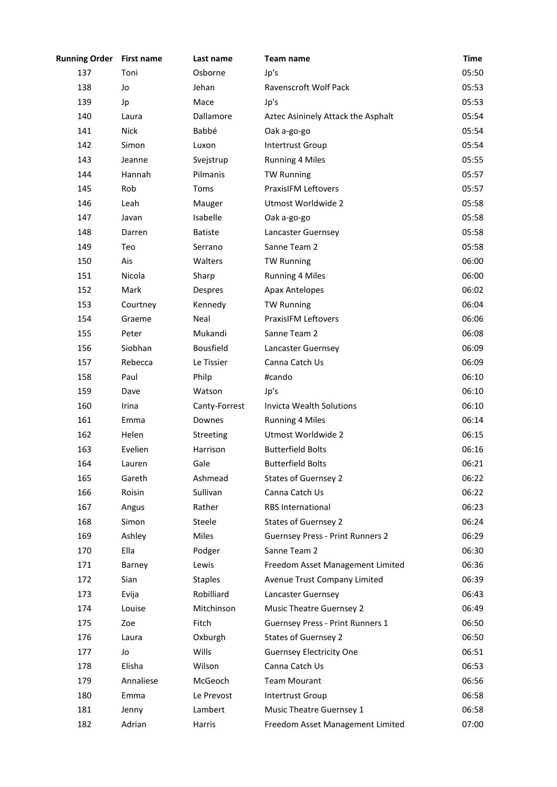| <b>Running Order</b> | <b>First name</b> | Last name      | Team name                               | <b>Time</b> |
|----------------------|-------------------|----------------|-----------------------------------------|-------------|
| 137                  | Toni              | Osborne        | Jp's                                    | 05:50       |
| 138                  | Jo                | Jehan          | Ravenscroft Wolf Pack                   | 05:53       |
| 139                  | Jp                | Mace           | Jp's                                    | 05:53       |
| 140                  | Laura             | Dallamore      | Aztec Asininely Attack the Asphalt      | 05:54       |
| 141                  | <b>Nick</b>       | Babbé          | Oak a-go-go                             | 05:54       |
| 142                  | Simon             | Luxon          | Intertrust Group                        | 05:54       |
| 143                  | Jeanne            | Svejstrup      | <b>Running 4 Miles</b>                  | 05:55       |
| 144                  | Hannah            | Pilmanis       | <b>TW Running</b>                       | 05:57       |
| 145                  | Rob               | Toms           | <b>PraxisIFM Leftovers</b>              | 05:57       |
| 146                  | Leah              | Mauger         | Utmost Worldwide 2                      | 05:58       |
| 147                  | Javan             | Isabelle       | Oak a-go-go                             | 05:58       |
| 148                  | Darren            | <b>Batiste</b> | Lancaster Guernsey                      | 05:58       |
| 149                  | Teo               | Serrano        | Sanne Team 2                            | 05:58       |
| 150                  | Ais               | Walters        | <b>TW Running</b>                       | 06:00       |
| 151                  | Nicola            | Sharp          | <b>Running 4 Miles</b>                  | 06:00       |
| 152                  | Mark              | Despres        | <b>Apax Antelopes</b>                   | 06:02       |
| 153                  | Courtney          | Kennedy        | <b>TW Running</b>                       | 06:04       |
| 154                  | Graeme            | Neal           | <b>PraxisIFM Leftovers</b>              | 06:06       |
| 155                  | Peter             | Mukandi        | Sanne Team 2                            | 06:08       |
| 156                  | Siobhan           | Bousfield      | Lancaster Guernsey                      | 06:09       |
| 157                  | Rebecca           | Le Tissier     | Canna Catch Us                          | 06:09       |
| 158                  | Paul              | Philp          | #cando                                  | 06:10       |
| 159                  | Dave              | Watson         | Jp's                                    | 06:10       |
| 160                  | Irina             | Canty-Forrest  | Invicta Wealth Solutions                | 06:10       |
| 161                  | Emma              | Downes         | <b>Running 4 Miles</b>                  | 06:14       |
| 162                  | Helen             | Streeting      | Utmost Worldwide 2                      | 06:15       |
| 163                  | Evelien           | Harrison       | <b>Butterfield Bolts</b>                | 06:16       |
| 164                  | Lauren            | Gale           | <b>Butterfield Bolts</b>                | 06:21       |
| 165                  | Gareth            | Ashmead        | <b>States of Guernsey 2</b>             | 06:22       |
| 166                  | Roisin            | Sullivan       | Canna Catch Us                          | 06:22       |
| 167                  | Angus             | Rather         | <b>RBS</b> International                | 06:23       |
| 168                  | Simon             | Steele         | <b>States of Guernsey 2</b>             | 06:24       |
| 169                  | Ashley            | Miles          | <b>Guernsey Press - Print Runners 2</b> | 06:29       |
| 170                  | Ella              | Podger         | Sanne Team 2                            | 06:30       |
| 171                  | Barney            | Lewis          | Freedom Asset Management Limited        | 06:36       |
| 172                  | Sian              | <b>Staples</b> | Avenue Trust Company Limited            | 06:39       |
| 173                  | Evija             | Robilliard     | Lancaster Guernsey                      | 06:43       |
| 174                  | Louise            | Mitchinson     | <b>Music Theatre Guernsey 2</b>         | 06:49       |
| 175                  | Zoe               | Fitch          | Guernsey Press - Print Runners 1        | 06:50       |
| 176                  | Laura             | Oxburgh        | <b>States of Guernsey 2</b>             | 06:50       |
| 177                  | Jo                | Wills          | <b>Guernsey Electricity One</b>         | 06:51       |
| 178                  | Elisha            | Wilson         | Canna Catch Us                          | 06:53       |
| 179                  | Annaliese         | McGeoch        | <b>Team Mourant</b>                     | 06:56       |
| 180                  | Emma              | Le Prevost     | Intertrust Group                        | 06:58       |
| 181                  | Jenny             | Lambert        | Music Theatre Guernsey 1                | 06:58       |
| 182                  | Adrian            | Harris         | Freedom Asset Management Limited        | 07:00       |